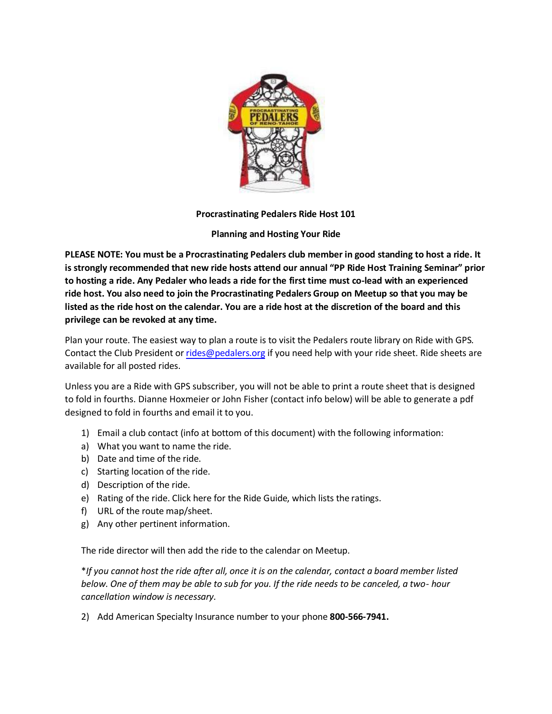

# **Procrastinating Pedalers Ride Host 101**

# **Planning and Hosting Your Ride**

**PLEASE NOTE: You must be a Procrastinating Pedalers club member in good standing to host a ride. It is strongly recommended that new ride hosts attend our annual "PP Ride Host Training Seminar" prior to hosting a ride. Any Pedaler who leads a ride for the first time must co-lead with an experienced ride host. You also need to join the Procrastinating Pedalers Group on Meetup so that you may be listed as the ride host on the calendar. You are a ride host at the discretion of the board and this privilege can be revoked at any time.** 

Plan your route. The easiest way to plan a route is to visit the Pedalers route library on Ride with GPS. Contact the Club President or [rides@pedalers.org](file:///C:/Users/heather.hall/Desktop/rides@pedalers.org) if you need help with your ride sheet. Ride sheets are available for all posted rides.

Unless you are a Ride with GPS subscriber, you will not be able to print a route sheet that is designed to fold in fourths. Dianne Hoxmeier or John Fisher (contact info below) will be able to generate a pdf designed to fold in fourths and email it to you.

- 1) Email a club contact (info at bottom of this document) with the following information:
- a) What you want to name the ride.
- b) Date and time of the ride.
- c) Starting location of the ride.
- d) Description of the ride.
- e) Rating of the ride. Click here for the Ride Guide, which lists the ratings.
- f) URL of the route map/sheet.
- g) Any other pertinent information.

The ride director will then add the ride to the calendar on Meetup.

\**If you cannot host the ride after all, once it is on the calendar, contact a board member listed below. One of them may be able to sub for you. If the ride needs to be canceled, a two- hour cancellation window is necessary.*

2) Add American Specialty Insurance number to your phone **800-566-7941.**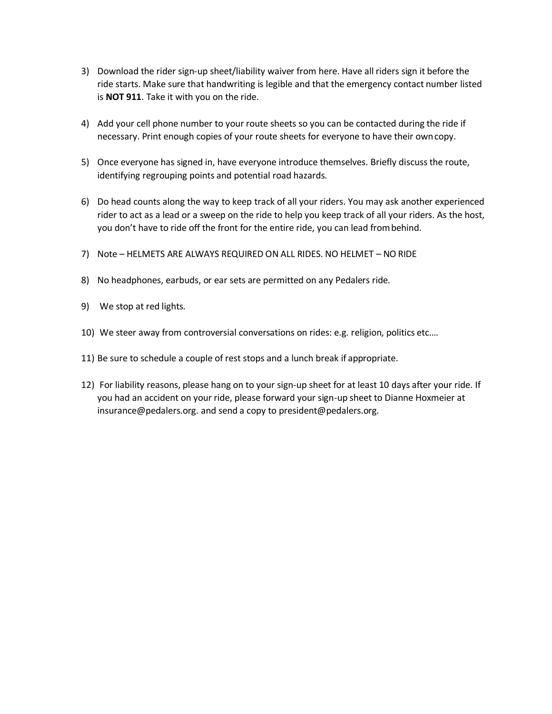- 3) Download the rider sign-up sheet/liability waiver from here. Have all riders sign it before the ride starts. Make sure that handwriting is legible and that the emergency contact number listed is **NOT 911**. Take it with you on the ride.
- 4) Add your cell phone number to your route sheets so you can be contacted during the ride if necessary. Print enough copies of your route sheets for everyone to have their owncopy.
- 5) Once everyone has signed in, have everyone introduce themselves. Briefly discuss the route, identifying regrouping points and potential road hazards.
- 6) Do head counts along the way to keep track of all your riders. You may ask another experienced rider to act as a lead or a sweep on the ride to help you keep track of all your riders. As the host, you don't have to ride off the front for the entire ride, you can lead frombehind.
- 7) Note HELMETS ARE ALWAYS REQUIRED ON ALL RIDES. NO HELMET NO RIDE
- 8) No headphones, earbuds, or ear sets are permitted on any Pedalers ride.
- 9) We stop at red lights.
- 10) We steer away from controversial conversations on rides: e.g. religion, politics etc.…
- 11) Be sure to schedule a couple of rest stops and a lunch break if appropriate.
- 12) For liability reasons, please hang on to your sign-up sheet for at least 10 days after your ride. If you had an accident on your ride, please forward your sign-up sheet to Dianne Hoxmeier at [insurance@pedalers.org. a](mailto:insurance@pedalers.org)nd send a copy to [president@pedalers.org.](mailto:president@pedalers.org)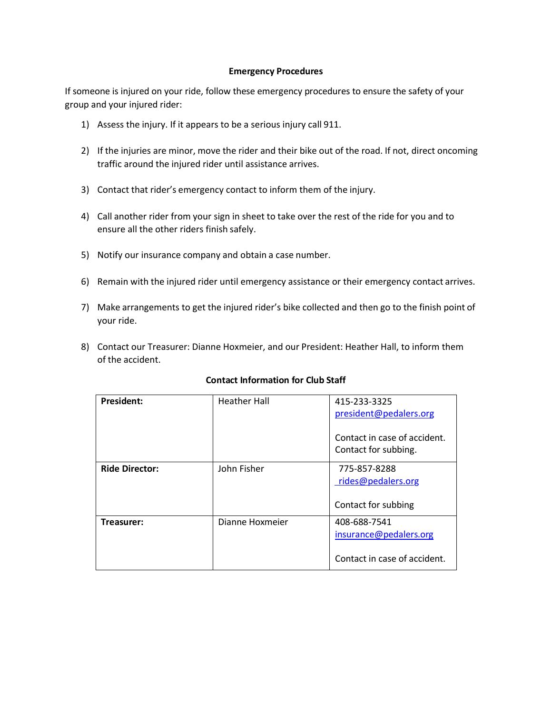### **Emergency Procedures**

If someone is injured on your ride, follow these emergency procedures to ensure the safety of your group and your injured rider:

- 1) Assess the injury. If it appears to be a serious injury call 911.
- 2) If the injuries are minor, move the rider and their bike out of the road. If not, direct oncoming traffic around the injured rider until assistance arrives.
- 3) Contact that rider's emergency contact to inform them of the injury.
- 4) Call another rider from your sign in sheet to take over the rest of the ride for you and to ensure all the other riders finish safely.
- 5) Notify our insurance company and obtain a case number.
- 6) Remain with the injured rider until emergency assistance or their emergency contact arrives.
- 7) Make arrangements to get the injured rider's bike collected and then go to the finish point of your ride.
- 8) Contact our Treasurer: Dianne Hoxmeier, and our President: Heather Hall, to inform them of the accident.

| <b>President:</b>     | <b>Heather Hall</b> | 415-233-3325<br>president@pedalers.org<br>Contact in case of accident.<br>Contact for subbing. |
|-----------------------|---------------------|------------------------------------------------------------------------------------------------|
| <b>Ride Director:</b> | John Fisher         | 775-857-8288<br>rides@pedalers.org<br>Contact for subbing                                      |
| Treasurer:            | Dianne Hoxmeier     | 408-688-7541<br>insurance@pedalers.org<br>Contact in case of accident.                         |

# **Contact Information for Club Staff**